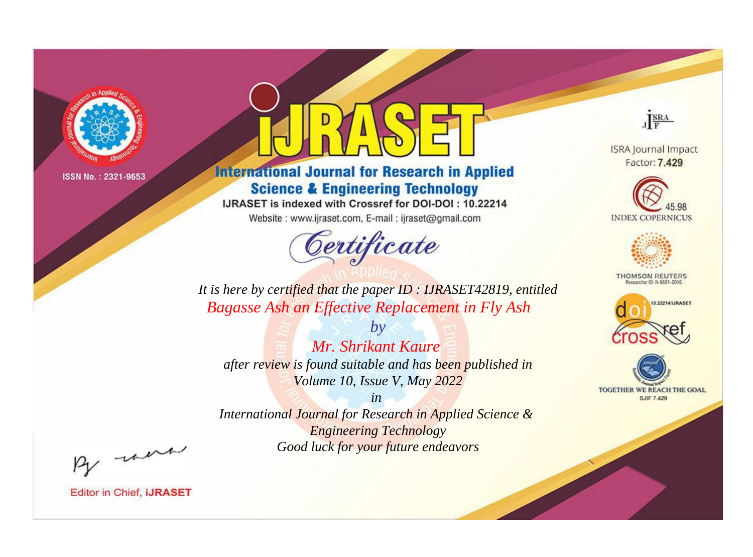

# **International Journal for Research in Applied Science & Engineering Technology**

IJRASET is indexed with Crossref for DOI-DOI: 10.22214

Website: www.ijraset.com, E-mail: ijraset@gmail.com



JERA

**ISRA Journal Impact** Factor: 7.429





**THOMSON REUTERS** 



TOGETHER WE REACH THE GOAL **SJIF 7.429** 

*It is here by certified that the paper ID : IJRASET42819, entitled Bagasse Ash an Effective Replacement in Fly Ash*

*by Mr. Shrikant Kaure after review is found suitable and has been published in Volume 10, Issue V, May 2022*

*in* 

*International Journal for Research in Applied Science & Engineering Technology Good luck for your future endeavors*

By morn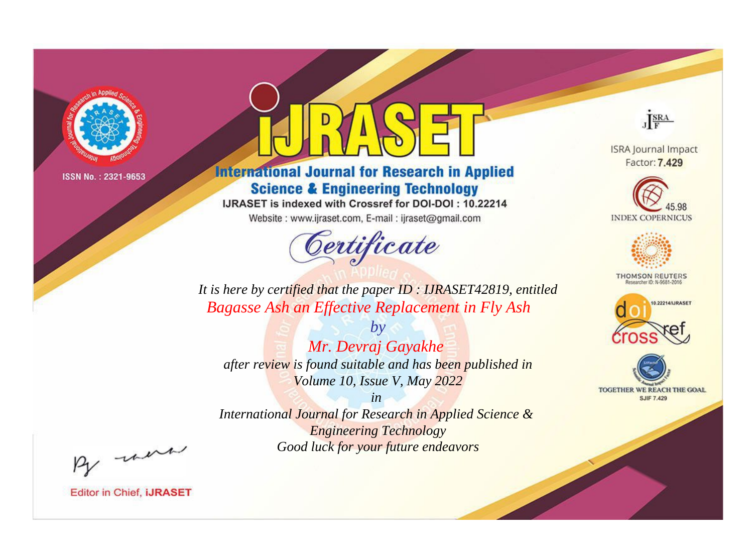

# **International Journal for Research in Applied Science & Engineering Technology**

IJRASET is indexed with Crossref for DOI-DOI: 10.22214

Website: www.ijraset.com, E-mail: ijraset@gmail.com



JERA

**ISRA Journal Impact** Factor: 7.429





**THOMSON REUTERS** 



TOGETHER WE REACH THE GOAL **SJIF 7.429** 

It is here by certified that the paper ID: IJRASET42819, entitled Bagasse Ash an Effective Replacement in Fly Ash

Mr. Devraj Gayakhe after review is found suitable and has been published in Volume 10, Issue V, May 2022

 $b\nu$ 

 $in$ International Journal for Research in Applied Science & **Engineering Technology** Good luck for your future endeavors

By morn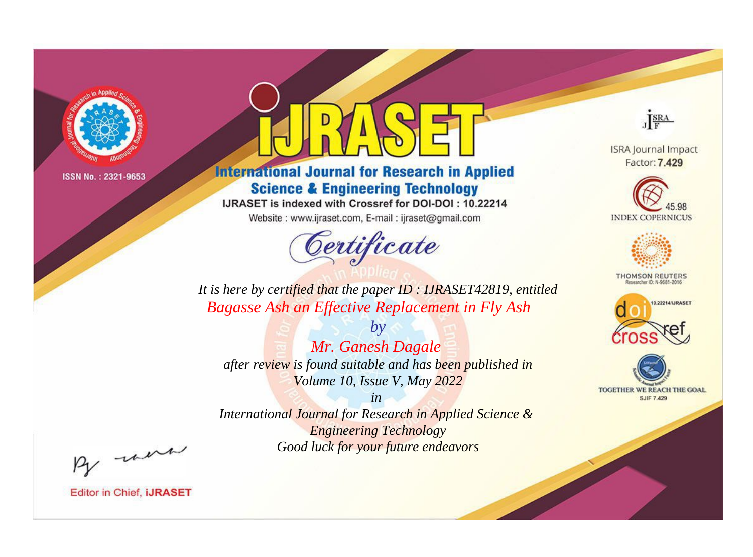

# **International Journal for Research in Applied Science & Engineering Technology**

IJRASET is indexed with Crossref for DOI-DOI: 10.22214

Website: www.ijraset.com, E-mail: ijraset@gmail.com



JERA

**ISRA Journal Impact** Factor: 7.429





**THOMSON REUTERS** 



TOGETHER WE REACH THE GOAL **SJIF 7.429** 

*It is here by certified that the paper ID : IJRASET42819, entitled Bagasse Ash an Effective Replacement in Fly Ash*

*by Mr. Ganesh Dagale after review is found suitable and has been published in Volume 10, Issue V, May 2022*

*in* 

*International Journal for Research in Applied Science & Engineering Technology Good luck for your future endeavors*

By morn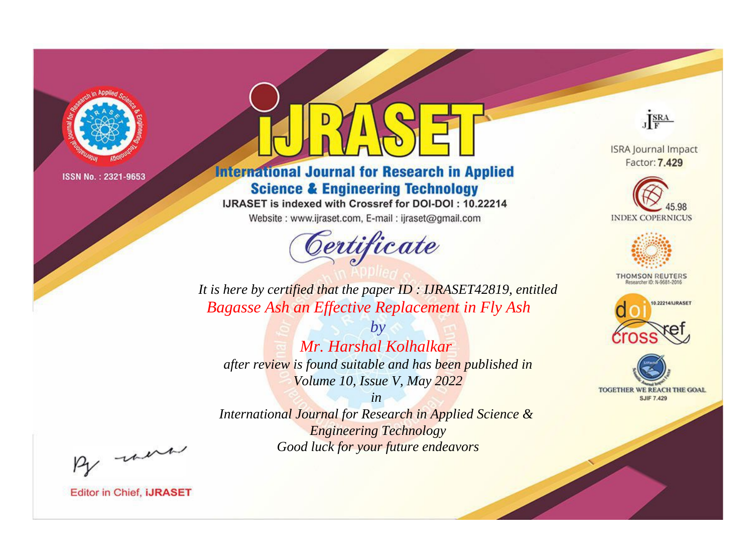

# **International Journal for Research in Applied Science & Engineering Technology**

IJRASET is indexed with Crossref for DOI-DOI: 10.22214

Website: www.ijraset.com, E-mail: ijraset@gmail.com



JERA

**ISRA Journal Impact** Factor: 7.429





**THOMSON REUTERS** 



TOGETHER WE REACH THE GOAL **SJIF 7.429** 

It is here by certified that the paper ID: IJRASET42819, entitled Bagasse Ash an Effective Replacement in Fly Ash

 $b\nu$ Mr. Harshal Kolhalkar after review is found suitable and has been published in Volume 10, Issue V, May 2022

 $in$ International Journal for Research in Applied Science & **Engineering Technology** Good luck for your future endeavors

By morn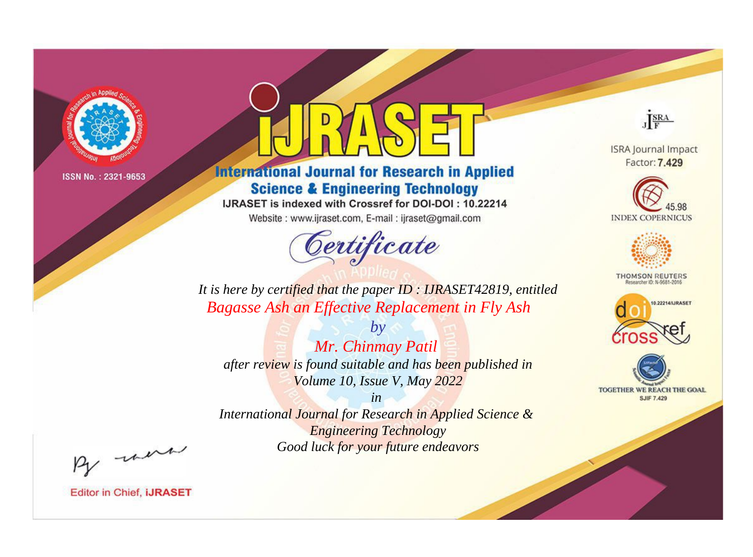

# **International Journal for Research in Applied Science & Engineering Technology**

IJRASET is indexed with Crossref for DOI-DOI: 10.22214

Website: www.ijraset.com, E-mail: ijraset@gmail.com



JERA

**ISRA Journal Impact** Factor: 7.429





**THOMSON REUTERS** 



TOGETHER WE REACH THE GOAL **SJIF 7.429** 

*It is here by certified that the paper ID : IJRASET42819, entitled Bagasse Ash an Effective Replacement in Fly Ash*

*by Mr. Chinmay Patil after review is found suitable and has been published in Volume 10, Issue V, May 2022*

*in* 

*International Journal for Research in Applied Science & Engineering Technology Good luck for your future endeavors*

By morn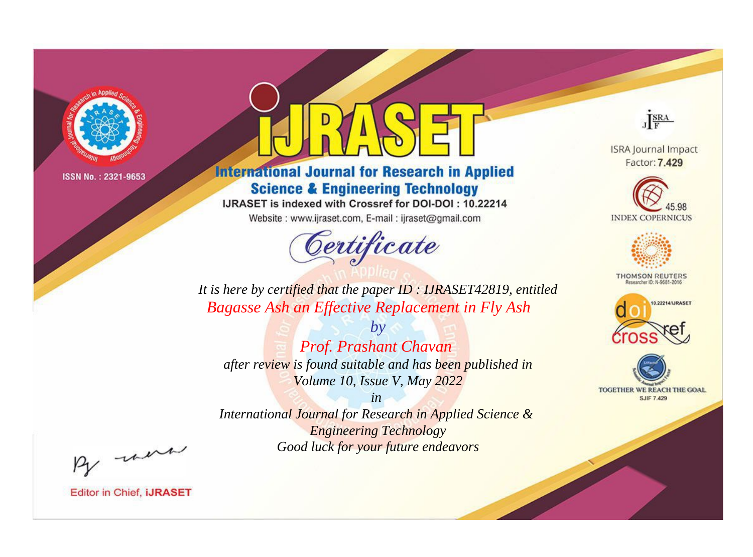

# **International Journal for Research in Applied Science & Engineering Technology**

IJRASET is indexed with Crossref for DOI-DOI: 10.22214

Website: www.ijraset.com, E-mail: ijraset@gmail.com



JERA

**ISRA Journal Impact** Factor: 7.429





**THOMSON REUTERS** 



TOGETHER WE REACH THE GOAL **SJIF 7.429** 

It is here by certified that the paper ID: IJRASET42819, entitled **Bagasse Ash an Effective Replacement in Fly Ash** 

 $b\nu$ Prof. Prashant Chavan after review is found suitable and has been published in Volume 10, Issue V, May 2022

 $in$ International Journal for Research in Applied Science & **Engineering Technology** Good luck for your future endeavors

By morn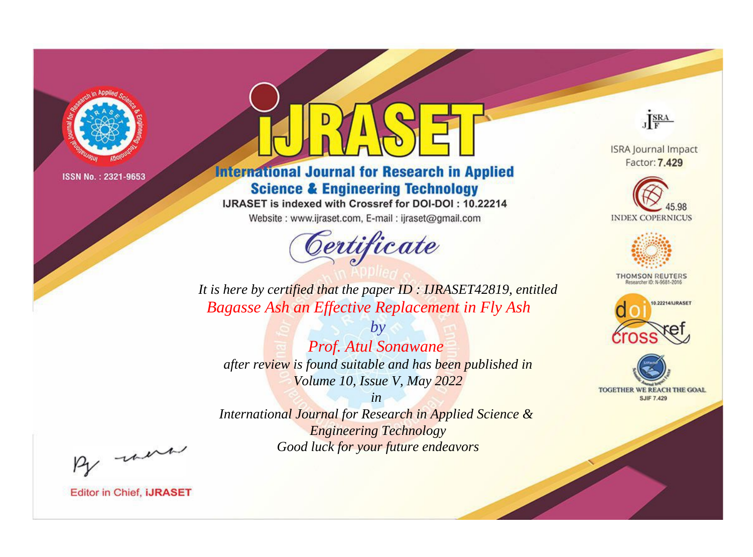

# **International Journal for Research in Applied Science & Engineering Technology**

IJRASET is indexed with Crossref for DOI-DOI: 10.22214

Website: www.ijraset.com, E-mail: ijraset@gmail.com



JERA

**ISRA Journal Impact** Factor: 7.429





**THOMSON REUTERS** 



TOGETHER WE REACH THE GOAL **SJIF 7.429** 

*It is here by certified that the paper ID : IJRASET42819, entitled Bagasse Ash an Effective Replacement in Fly Ash*

*by Prof. Atul Sonawane after review is found suitable and has been published in Volume 10, Issue V, May 2022*

*in* 

*International Journal for Research in Applied Science & Engineering Technology Good luck for your future endeavors*

By morn